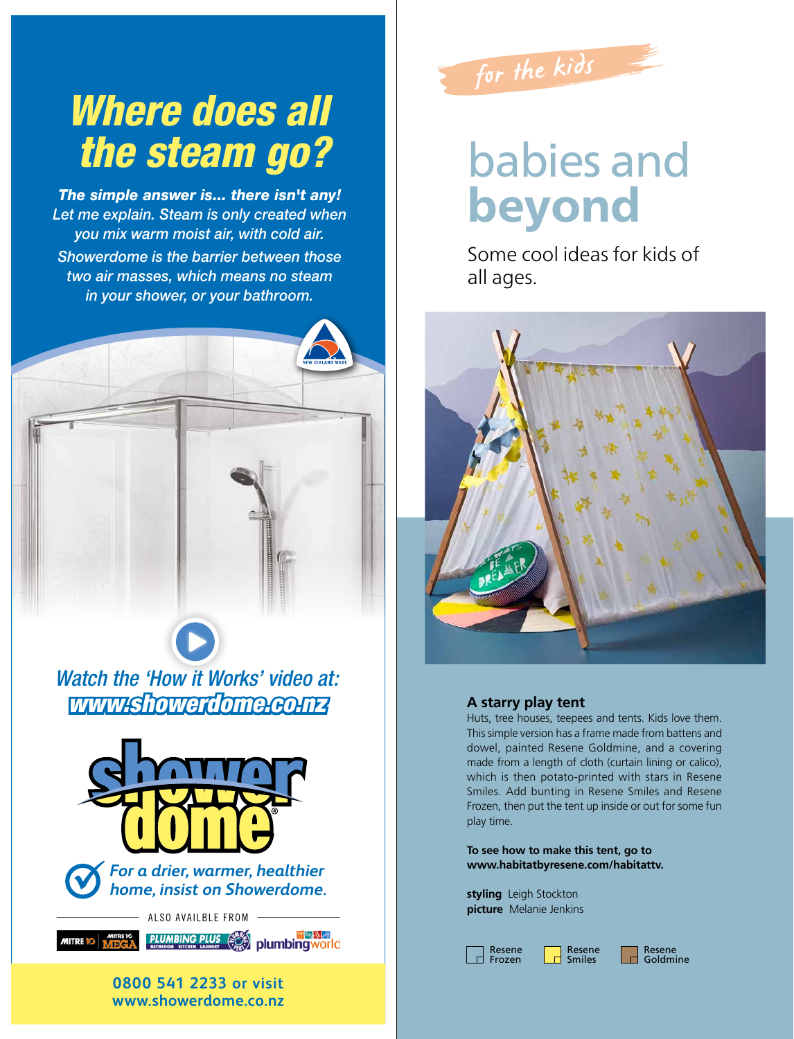

# babies and beyond

Some cool ideas for kids of all ages.



## **A starry play tent**

Huts, tree houses, teepees and tents. Kids love them. This simple version has a frame made from battens and dowel, painted Resene Goldmine, and a covering made from a length of cloth (curtain lining or calico), which is then potato-printed with stars in Resene Smiles. Add bunting in Resene Smiles and Resene Frozen, then put the tent up inside or out for some fun play time.

**To see how to make this tent, go to www.habitatbyresene.com/habitattv.**

**styling** Leigh Stockton **picture** Melanie Jenkins